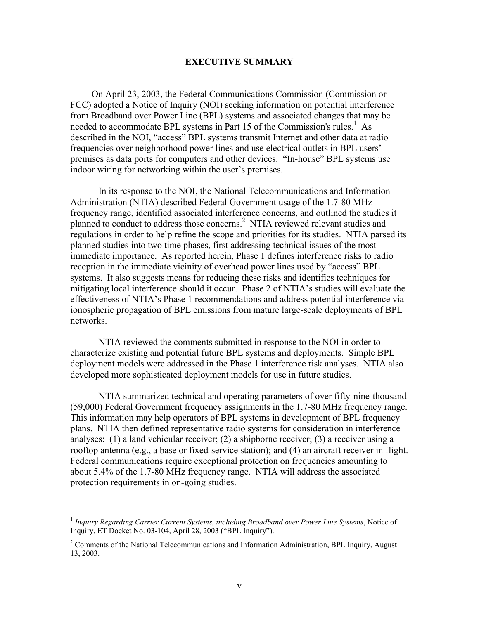## **EXECUTIVE SUMMARY**

On April 23, 2003, the Federal Communications Commission (Commission or FCC) adopted a Notice of Inquiry (NOI) seeking information on potential interference from Broadband over Power Line (BPL) systems and associated changes that may be needed to accommodate BPL systems in Part 15 of the Commission's rules.<sup>1</sup> As described in the NOI, "access" BPL systems transmit Internet and other data at radio frequencies over neighborhood power lines and use electrical outlets in BPL users' premises as data ports for computers and other devices. "In-house" BPL systems use indoor wiring for networking within the user's premises.

In its response to the NOI, the National Telecommunications and Information Administration (NTIA) described Federal Government usage of the 1.7-80 MHz frequency range, identified associated interference concerns, and outlined the studies it planned to conduct to address those concerns.<sup>2</sup> NTIA reviewed relevant studies and regulations in order to help refine the scope and priorities for its studies. NTIA parsed its planned studies into two time phases, first addressing technical issues of the most immediate importance. As reported herein, Phase 1 defines interference risks to radio reception in the immediate vicinity of overhead power lines used by "access" BPL systems. It also suggests means for reducing these risks and identifies techniques for mitigating local interference should it occur. Phase 2 of NTIA's studies will evaluate the effectiveness of NTIA's Phase 1 recommendations and address potential interference via ionospheric propagation of BPL emissions from mature large-scale deployments of BPL networks.

NTIA reviewed the comments submitted in response to the NOI in order to characterize existing and potential future BPL systems and deployments. Simple BPL deployment models were addressed in the Phase 1 interference risk analyses. NTIA also developed more sophisticated deployment models for use in future studies.

NTIA summarized technical and operating parameters of over fifty-nine-thousand (59,000) Federal Government frequency assignments in the 1.7-80 MHz frequency range. This information may help operators of BPL systems in development of BPL frequency plans. NTIA then defined representative radio systems for consideration in interference analyses: (1) a land vehicular receiver; (2) a shipborne receiver; (3) a receiver using a rooftop antenna (e.g., a base or fixed-service station); and (4) an aircraft receiver in flight. Federal communications require exceptional protection on frequencies amounting to about 5.4% of the 1.7-80 MHz frequency range. NTIA will address the associated protection requirements in on-going studies.

<u>.</u>

<sup>1</sup> *Inquiry Regarding Carrier Current Systems, including Broadband over Power Line Systems*, Notice of Inquiry, ET Docket No. 03-104, April 28, 2003 ("BPL Inquiry").

 $2^2$  Comments of the National Telecommunications and Information Administration, BPL Inquiry, August 13, 2003.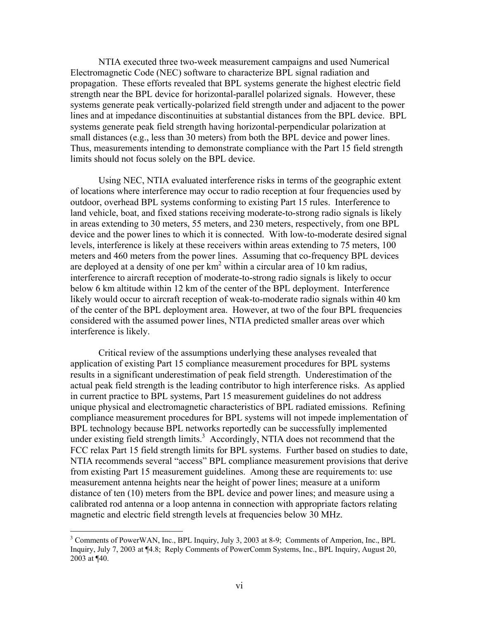NTIA executed three two-week measurement campaigns and used Numerical Electromagnetic Code (NEC) software to characterize BPL signal radiation and propagation. These efforts revealed that BPL systems generate the highest electric field strength near the BPL device for horizontal-parallel polarized signals. However, these systems generate peak vertically-polarized field strength under and adjacent to the power lines and at impedance discontinuities at substantial distances from the BPL device. BPL systems generate peak field strength having horizontal-perpendicular polarization at small distances (e.g., less than 30 meters) from both the BPL device and power lines. Thus, measurements intending to demonstrate compliance with the Part 15 field strength limits should not focus solely on the BPL device.

 Using NEC, NTIA evaluated interference risks in terms of the geographic extent of locations where interference may occur to radio reception at four frequencies used by outdoor, overhead BPL systems conforming to existing Part 15 rules. Interference to land vehicle, boat, and fixed stations receiving moderate-to-strong radio signals is likely in areas extending to 30 meters, 55 meters, and 230 meters, respectively, from one BPL device and the power lines to which it is connected. With low-to-moderate desired signal levels, interference is likely at these receivers within areas extending to 75 meters, 100 meters and 460 meters from the power lines. Assuming that co-frequency BPL devices are deployed at a density of one per  $km^2$  within a circular area of 10 km radius, interference to aircraft reception of moderate-to-strong radio signals is likely to occur below 6 km altitude within 12 km of the center of the BPL deployment. Interference likely would occur to aircraft reception of weak-to-moderate radio signals within 40 km of the center of the BPL deployment area. However, at two of the four BPL frequencies considered with the assumed power lines, NTIA predicted smaller areas over which interference is likely.

 Critical review of the assumptions underlying these analyses revealed that application of existing Part 15 compliance measurement procedures for BPL systems results in a significant underestimation of peak field strength. Underestimation of the actual peak field strength is the leading contributor to high interference risks. As applied in current practice to BPL systems, Part 15 measurement guidelines do not address unique physical and electromagnetic characteristics of BPL radiated emissions. Refining compliance measurement procedures for BPL systems will not impede implementation of BPL technology because BPL networks reportedly can be successfully implemented under existing field strength limits.<sup>3</sup> Accordingly, NTIA does not recommend that the FCC relax Part 15 field strength limits for BPL systems. Further based on studies to date, NTIA recommends several "access" BPL compliance measurement provisions that derive from existing Part 15 measurement guidelines. Among these are requirements to: use measurement antenna heights near the height of power lines; measure at a uniform distance of ten (10) meters from the BPL device and power lines; and measure using a calibrated rod antenna or a loop antenna in connection with appropriate factors relating magnetic and electric field strength levels at frequencies below 30 MHz.

1

<sup>&</sup>lt;sup>3</sup> Comments of PowerWAN, Inc., BPL Inquiry, July 3, 2003 at 8-9; Comments of Amperion, Inc., BPL Inquiry, July 7, 2003 at ¶4.8; Reply Comments of PowerComm Systems, Inc., BPL Inquiry, August 20, 2003 at ¶40.